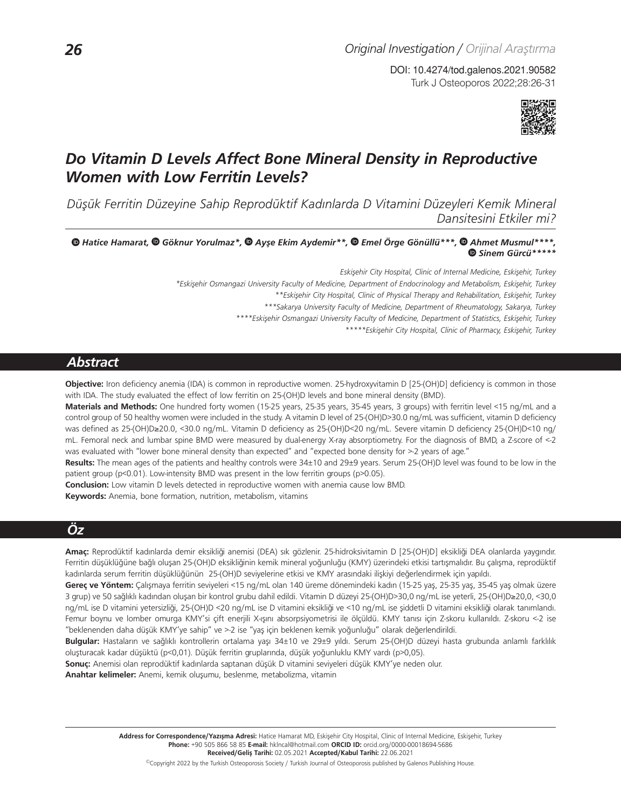Turk J Osteoporos 2022;28:26-31 DOI: 10.4274/tod.galenos.2021.90582



# *Do Vitamin D Levels Affect Bone Mineral Density in Reproductive Women with Low Ferritin Levels?*

*Düşük Ferritin Düzeyine Sahip Reprodüktif Kadınlarda D Vitamini Düzeyleri Kemik Mineral Dansitesini Etkiler mi?*

*Hatice Hamarat, Göknur Yorulmaz\*, Ayşe Ekim Aydemir\*\*,Emel Örge Gönüllü\*\*\*,Ahmet Musmul\*\*\*\*, Sinem Gürcü\*\*\*\*\** 

> *Eskişehir City Hospital, Clinic of Internal Medicine, Eskişehir, Turkey \*Eskişehir Osmangazi University Faculty of Medicine, Department of Endocrinology and Metabolism, Eskişehir, Turkey*

*\*\*Eskişehir City Hospital, Clinic of Physical Therapy and Rehabilitation, Eskişehir, Turkey*

*\*\*\*Sakarya University Faculty of Medicine, Department of Rheumatology, Sakarya, Turkey*

*\*\*\*\*Eskişehir Osmangazi University Faculty of Medicine, Department of Statistics, Eskişehir, Turkey*

*\*\*\*\*\*Eskişehir City Hospital, Clinic of Pharmacy, Eskişehir, Turkey*

## *Abstract*

**Objective:** Iron deficiency anemia (IDA) is common in reproductive women. 25-hydroxyvitamin D [25-(OH)D] deficiency is common in those with IDA. The study evaluated the effect of low ferritin on 25-(OH)D levels and bone mineral density (BMD).

Materials and Methods: One hundred forty women (15-25 years, 25-35 years, 35-45 years, 3 groups) with ferritin level <15 ng/mL and a control group of 50 healthy women were included in the study. A vitamin D level of 25-(OH)D>30.0 ng/mL was sufficient, vitamin D deficiency was defined as 25-(OH)D≥20.0, <30.0 ng/mL. Vitamin D deficiency as 25-(OH)D<20 ng/mL. Severe vitamin D deficiency 25-(OH)D<10 ng/ mL. Femoral neck and lumbar spine BMD were measured by dual-energy X-ray absorptiometry. For the diagnosis of BMD, a Z-score of <-2 was evaluated with "lower bone mineral density than expected" and "expected bone density for >-2 years of age."

**Results:** The mean ages of the patients and healthy controls were 34±10 and 29±9 years. Serum 25-(OH)D level was found to be low in the patient group (p<0.01). Low-intensity BMD was present in the low ferritin groups (p>0.05).

**Conclusion:** Low vitamin D levels detected in reproductive women with anemia cause low BMD.

**Keywords:** Anemia, bone formation, nutrition, metabolism, vitamins

## *Öz*

**Amaç:** Reprodüktif kadınlarda demir eksikliği anemisi (DEA) sık gözlenir. 25-hidroksivitamin D [25-(OH)D] eksikliği DEA olanlarda yaygındır. Ferritin düşüklüğüne bağlı oluşan 25-(OH)D eksikliğinin kemik mineral yoğunluğu (KMY) üzerindeki etkisi tartışmalıdır. Bu çalışma, reprodüktif kadınlarda serum ferritin düşüklüğünün 25-(OH)D seviyelerine etkisi ve KMY arasındaki ilişkiyi değerlendirmek için yapıldı.

**Gereç ve Yöntem:** Çalışmaya ferritin seviyeleri <15 ng/mL olan 140 üreme dönemindeki kadın (15-25 yaş, 25-35 yaş, 35-45 yaş olmak üzere 3 grup) ve 50 sağlıklı kadından oluşan bir kontrol grubu dahil edildi. Vitamin D düzeyi 25-(OH)D>30,0 ng/mL ise yeterli, 25-(OH)D≥20,0, <30,0 ng/mL ise D vitamini yetersizliği, 25-(OH)D <20 ng/mL ise D vitamini eksikliği ve <10 ng/mL ise şiddetli D vitamini eksikliği olarak tanımlandı. Femur boynu ve lomber omurga KMY'si çift enerjili X-ışını absorpsiyometrisi ile ölçüldü. KMY tanısı için Z-skoru kullanıldı. Z-skoru <-2 ise "beklenenden daha düşük KMY'ye sahip" ve >-2 ise "yaş için beklenen kemik yoğunluğu" olarak değerlendirildi.

**Bulgular:** Hastaların ve sağlıklı kontrollerin ortalama yaşı 34±10 ve 29±9 yıldı. Serum 25-(OH)D düzeyi hasta grubunda anlamlı farklılık oluşturacak kadar düşüktü (p<0,01). Düşük ferritin gruplarında, düşük yoğunluklu KMY vardı (p>0,05).

**Sonuç:** Anemisi olan reprodüktif kadınlarda saptanan düşük D vitamini seviyeleri düşük KMY'ye neden olur. **Anahtar kelimeler:** Anemi, kemik oluşumu, beslenme, metabolizma, vitamin

> ©Copyright 2022 by the Turkish Osteoporosis Society / Turkish Journal of Osteoporosis published by Galenos Publishing House. Address for Correspondence/Yazışma Adresi: Hatice Hamarat MD, Eskişehir City Hospital, Clinic of Internal Medicine, Eskişehir, Turkey **Phone:** +90 505 866 58 85 **E-mail:** hklncal@hotmail.com **ORCID ID:** orcid.org/0000-00018694-5686 **Received/Geliş Tarihi:** 02.05.2021 **Accepted/Kabul Tarihi:** 22.06.2021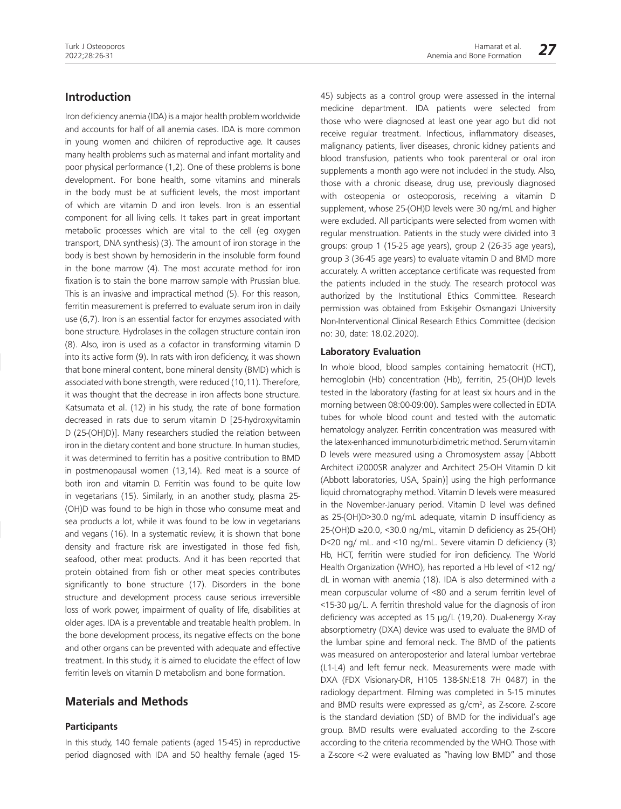## **Introduction**

Iron deficiency anemia (IDA) is a major health problem worldwide and accounts for half of all anemia cases. IDA is more common in young women and children of reproductive age. It causes many health problems such as maternal and infant mortality and poor physical performance (1,2). One of these problems is bone development. For bone health, some vitamins and minerals in the body must be at sufficient levels, the most important of which are vitamin D and iron levels. Iron is an essential component for all living cells. It takes part in great important metabolic processes which are vital to the cell (eg oxygen transport, DNA synthesis) (3). The amount of iron storage in the body is best shown by hemosiderin in the insoluble form found in the bone marrow (4). The most accurate method for iron fixation is to stain the bone marrow sample with Prussian blue. This is an invasive and impractical method (5). For this reason, ferritin measurement is preferred to evaluate serum iron in daily use (6,7). Iron is an essential factor for enzymes associated with bone structure. Hydrolases in the collagen structure contain iron (8). Also, iron is used as a cofactor in transforming vitamin D into its active form (9). In rats with iron deficiency, it was shown that bone mineral content, bone mineral density (BMD) which is associated with bone strength, were reduced (10,11). Therefore, it was thought that the decrease in iron affects bone structure. Katsumata et al. (12) in his study, the rate of bone formation decreased in rats due to serum vitamin D [25-hydroxyvitamin D (25-(OH)D)]. Many researchers studied the relation between iron in the dietary content and bone structure. In human studies, it was determined to ferritin has a positive contribution to BMD in postmenopausal women (13,14). Red meat is a source of both iron and vitamin D. Ferritin was found to be quite low in vegetarians (15). Similarly, in an another study, plasma 25- (OH)D was found to be high in those who consume meat and sea products a lot, while it was found to be low in vegetarians and vegans (16). In a systematic review, it is shown that bone density and fracture risk are investigated in those fed fish, seafood, other meat products. And it has been reported that protein obtained from fish or other meat species contributes significantly to bone structure (17). Disorders in the bone structure and development process cause serious irreversible loss of work power, impairment of quality of life, disabilities at older ages. IDA is a preventable and treatable health problem. In the bone development process, its negative effects on the bone and other organs can be prevented with adequate and effective treatment. In this study, it is aimed to elucidate the effect of low ferritin levels on vitamin D metabolism and bone formation.

## **Materials and Methods**

#### **Participants**

In this study, 140 female patients (aged 15-45) in reproductive period diagnosed with IDA and 50 healthy female (aged 1545) subjects as a control group were assessed in the internal medicine department. IDA patients were selected from those who were diagnosed at least one year ago but did not receive regular treatment. Infectious, inflammatory diseases, malignancy patients, liver diseases, chronic kidney patients and blood transfusion, patients who took parenteral or oral iron supplements a month ago were not included in the study. Also, those with a chronic disease, drug use, previously diagnosed with osteopenia or osteoporosis, receiving a vitamin D supplement, whose 25-(OH)D levels were 30 ng/mL and higher were excluded. All participants were selected from women with regular menstruation. Patients in the study were divided into 3 groups: group 1 (15-25 age years), group 2 (26-35 age years), group 3 (36-45 age years) to evaluate vitamin D and BMD more accurately. A written acceptance certificate was requested from the patients included in the study. The research protocol was authorized by the Institutional Ethics Committee. Research permission was obtained from Eskişehir Osmangazi University Non-Interventional Clinical Research Ethics Committee (decision no: 30, date: 18.02.2020).

#### **Laboratory Evaluation**

In whole blood, blood samples containing hematocrit (HCT), hemoglobin (Hb) concentration (Hb), ferritin, 25-(OH)D levels tested in the laboratory (fasting for at least six hours and in the morning between 08:00-09:00). Samples were collected in EDTA tubes for whole blood count and tested with the automatic hematology analyzer. Ferritin concentration was measured with the latex-enhanced immunoturbidimetric method. Serum vitamin D levels were measured using a Chromosystem assay [Abbott Architect i2000SR analyzer and Architect 25-OH Vitamin D kit (Abbott laboratories, USA, Spain)] using the high performance liquid chromatography method. Vitamin D levels were measured in the November-January period. Vitamin D level was defined as 25-(OH)D>30.0 ng/mL adequate, vitamin D insufficiency as 25-(OH)D ≥20.0, <30.0 ng/mL, vitamin D deficiency as 25-(OH) D<20 ng/ mL. and <10 ng/mL. Severe vitamin D deficiency (3) Hb, HCT, ferritin were studied for iron deficiency. The World Health Organization (WHO), has reported a Hb level of <12 ng/ dL in woman with anemia (18). IDA is also determined with a mean corpuscular volume of <80 and a serum ferritin level of <15-30 μg/L. A ferritin threshold value for the diagnosis of iron deficiency was accepted as 15 μg/L (19,20). Dual-energy X-ray absorptiometry (DXA) device was used to evaluate the BMD of the lumbar spine and femoral neck. The BMD of the patients was measured on anteroposterior and lateral lumbar vertebrae (L1-L4) and left femur neck. Measurements were made with DXA (FDX Visionary-DR, H105 138-SN:E18 7H 0487) in the radiology department. Filming was completed in 5-15 minutes and BMD results were expressed as  $g/cm<sup>2</sup>$ , as Z-score. Z-score is the standard deviation (SD) of BMD for the individual's age group. BMD results were evaluated according to the Z-score according to the criteria recommended by the WHO. Those with a Z-score <-2 were evaluated as "having low BMD" and those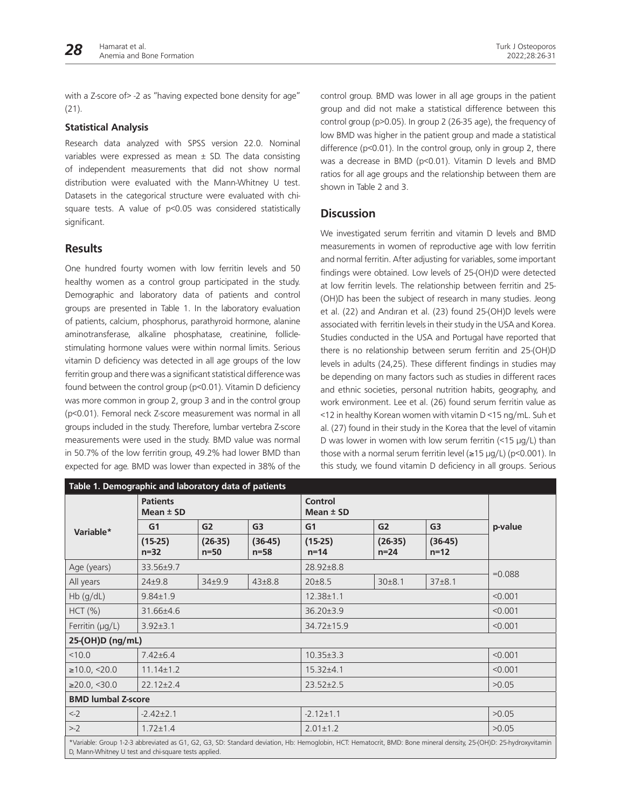with a Z-score of > -2 as "having expected bone density for age" (21).

#### **Statistical Analysis**

Research data analyzed with SPSS version 22.0. Nominal variables were expressed as mean  $\pm$  SD. The data consisting of independent measurements that did not show normal distribution were evaluated with the Mann-Whitney U test. Datasets in the categorical structure were evaluated with chisquare tests. A value of p<0.05 was considered statistically significant.

### **Results**

One hundred fourty women with low ferritin levels and 50 healthy women as a control group participated in the study. Demographic and laboratory data of patients and control groups are presented in Table 1. In the laboratory evaluation of patients, calcium, phosphorus, parathyroid hormone, alanine aminotransferase, alkaline phosphatase, creatinine, folliclestimulating hormone values were within normal limits. Serious vitamin D deficiency was detected in all age groups of the low ferritin group and there was a significant statistical difference was found between the control group (p<0.01). Vitamin D deficiency was more common in group 2, group 3 and in the control group (p<0.01). Femoral neck Z-score measurement was normal in all groups included in the study. Therefore, lumbar vertebra Z-score measurements were used in the study. BMD value was normal in 50.7% of the low ferritin group, 49.2% had lower BMD than expected for age. BMD was lower than expected in 38% of the

control group. BMD was lower in all age groups in the patient group and did not make a statistical difference between this control group (p>0.05). In group 2 (26-35 age), the frequency of low BMD was higher in the patient group and made a statistical difference (p<0.01). In the control group, only in group 2, there was a decrease in BMD (p<0.01). Vitamin D levels and BMD ratios for all age groups and the relationship between them are shown in Table 2 and 3.

## **Discussion**

We investigated serum ferritin and vitamin D levels and BMD measurements in women of reproductive age with low ferritin and normal ferritin. After adjusting for variables, some important findings were obtained. Low levels of 25-(OH)D were detected at low ferritin levels. The relationship between ferritin and 25- (OH)D has been the subject of research in many studies. Jeong et al. (22) and Andıran et al. (23) found 25-(OH)D levels were associated with ferritin levels in their study in the USA and Korea. Studies conducted in the USA and Portugal have reported that there is no relationship between serum ferritin and 25-(OH)D levels in adults (24,25). These different findings in studies may be depending on many factors such as studies in different races and ethnic societies, personal nutrition habits, geography, and work environment. Lee et al. (26) found serum ferritin value as <12 in healthy Korean women with vitamin D <15 ng/mL. Suh et al. (27) found in their study in the Korea that the level of vitamin D was lower in women with low serum ferritin (<15 μg/L) than those with a normal serum ferritin level (≥15 μg/L) (p<0.001). In this study, we found vitamin D deficiency in all groups. Serious

| Table 1. Demographic and laboratory data of patients                                                                                                              |                                  |                     |                     |                                 |                     |                     |          |  |  |
|-------------------------------------------------------------------------------------------------------------------------------------------------------------------|----------------------------------|---------------------|---------------------|---------------------------------|---------------------|---------------------|----------|--|--|
|                                                                                                                                                                   | <b>Patients</b><br>Mean $\pm$ SD |                     |                     | <b>Control</b><br>Mean $\pm$ SD |                     |                     |          |  |  |
| Variable*                                                                                                                                                         | G <sub>1</sub>                   | G <sub>2</sub>      | G <sub>3</sub>      | G <sub>1</sub>                  | G2                  | G <sub>3</sub>      | p-value  |  |  |
|                                                                                                                                                                   | $(15-25)$<br>$n=32$              | $(26-35)$<br>$n=50$ | $(36-45)$<br>$n=58$ | $(15-25)$<br>$n = 14$           | $(26-35)$<br>$n=24$ | $(36-45)$<br>$n=12$ |          |  |  |
| Age (years)                                                                                                                                                       | 33.56±9.7                        |                     |                     | 28.92±8.8                       |                     |                     | $=0.088$ |  |  |
| All years                                                                                                                                                         | $24 + 9.8$                       | $34 + 9.9$          | $43\pm8.8$          | $20 \pm 8.5$                    | 30±8.1              | 37±8.1              |          |  |  |
| $Hb$ (g/dL)                                                                                                                                                       | $9.84 \pm 1.9$                   |                     |                     | $12.38 \pm 1.1$                 |                     |                     | < 0.001  |  |  |
| HCT (%)                                                                                                                                                           | 31.66±4.6                        |                     |                     | $36.20 \pm 3.9$                 | < 0.001             |                     |          |  |  |
| Ferritin (µg/L)                                                                                                                                                   | $3.92 \pm 3.1$                   |                     |                     | 34.72±15.9                      |                     |                     | < 0.001  |  |  |
| 25-(OH)D (ng/mL)                                                                                                                                                  |                                  |                     |                     |                                 |                     |                     |          |  |  |
| < 10.0                                                                                                                                                            | $7.42 \pm 6.4$                   |                     |                     | $10.35 \pm 3.3$                 |                     |                     | < 0.001  |  |  |
| ≥10.0, ≤20.0                                                                                                                                                      | $11.14 \pm 1.2$                  |                     |                     | $15.32{\pm}4.1$                 |                     |                     | < 0.001  |  |  |
| $\geq$ 20.0, <30.0                                                                                                                                                | $22.12 \pm 2.4$                  |                     |                     | $23.52 \pm 2.5$                 |                     |                     | >0.05    |  |  |
| <b>BMD lumbal Z-score</b>                                                                                                                                         |                                  |                     |                     |                                 |                     |                     |          |  |  |
| $\leq -2$                                                                                                                                                         | $-2.42 \pm 2.1$                  |                     |                     | $-2.12 \pm 1.1$                 |                     |                     | >0.05    |  |  |
| >2                                                                                                                                                                | $1.72 \pm 1.4$                   |                     |                     | $2.01 \pm 1.2$                  |                     |                     | >0.05    |  |  |
| *Variable: Group 1-2-3 abbreviated as G1, G2, G3, SD: Standard deviation, Hb: Hemoglobin, HCT: Hematocrit, BMD: Bone mineral density, 25-(OH)D: 25-hydroxyvitamin |                                  |                     |                     |                                 |                     |                     |          |  |  |

D, Mann-Whitney U test and chi-square tests applied.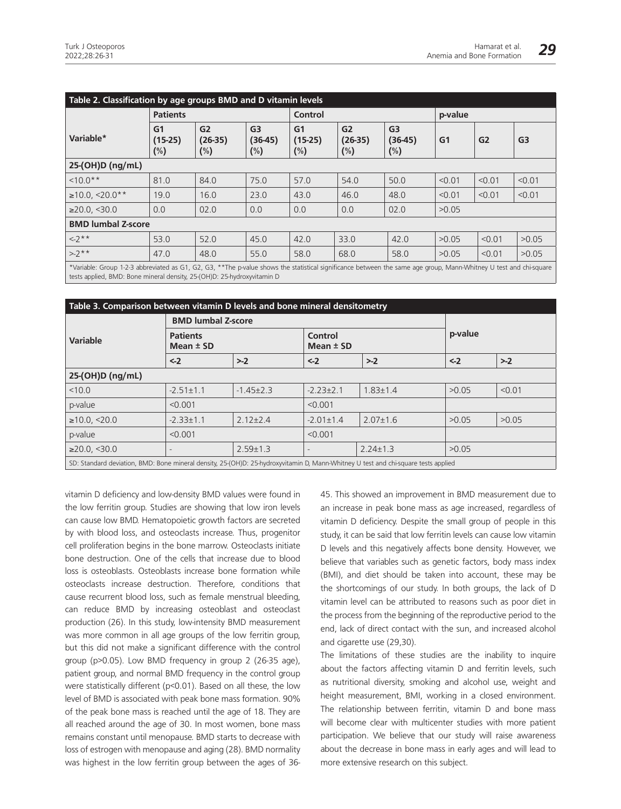| Table 2. Classification by age groups BMD and D vitamin levels                                                                                                    |                                       |                           |                                       |                                       |                                       |                                       |         |                |                |
|-------------------------------------------------------------------------------------------------------------------------------------------------------------------|---------------------------------------|---------------------------|---------------------------------------|---------------------------------------|---------------------------------------|---------------------------------------|---------|----------------|----------------|
|                                                                                                                                                                   | <b>Patients</b>                       |                           |                                       | Control                               |                                       |                                       | p-value |                |                |
| Variable*                                                                                                                                                         | G <sub>1</sub><br>$(15-25)$<br>$(\%)$ | G2<br>$(26-35)$<br>$(\%)$ | G <sub>3</sub><br>$(36-45)$<br>$(\%)$ | G <sub>1</sub><br>$(15-25)$<br>$(\%)$ | G <sub>2</sub><br>$(26-35)$<br>$(\%)$ | G <sub>3</sub><br>$(36-45)$<br>$(\%)$ | G1      | G <sub>2</sub> | G <sub>3</sub> |
| 25-(OH)D (ng/mL)                                                                                                                                                  |                                       |                           |                                       |                                       |                                       |                                       |         |                |                |
| $10.0**$                                                                                                                                                          | 81.0                                  | 84.0                      | 75.0                                  | 57.0                                  | 54.0                                  | 50.0                                  | < 0.01  | < 0.01         | < 0.01         |
| $≥10.0, ≤20.0**$                                                                                                                                                  | 19.0                                  | 16.0                      | 23.0                                  | 43.0                                  | 46.0                                  | 48.0                                  | < 0.01  | < 0.01         | < 0.01         |
| $\geq$ 20.0, <30.0                                                                                                                                                | 0.0                                   | 02.0                      | 0.0                                   | 0.0                                   | 0.0                                   | 02.0                                  | >0.05   |                |                |
| <b>BMD lumbal Z-score</b>                                                                                                                                         |                                       |                           |                                       |                                       |                                       |                                       |         |                |                |
| $<-2***$                                                                                                                                                          | 53.0                                  | 52.0                      | 45.0                                  | 42.0                                  | 33.0                                  | 42.0                                  | >0.05   | < 0.01         | >0.05          |
| $> -2$ **                                                                                                                                                         | 47.0                                  | 48.0                      | 55.0                                  | 58.0                                  | 68.0                                  | 58.0                                  | >0.05   | < 0.01         | >0.05          |
| *Variable: Group 1-2-3 abbreviated as G1, G2, G3, **The p-value shows the statistical significance between the same age group. Mann-Whitney U test and chi-square |                                       |                           |                                       |                                       |                                       |                                       |         |                |                |

\*Variable: Group 1-2-3 abbreviated as G1, G2, G3, \*\*The p-value shows the statistical significance between the same age group, Mann-Whitney U test and chi-square tests applied, BMD: Bone mineral density, 25-(OH)D: 25-hydroxyvitamin D

| Table 3. Comparison between vitamin D levels and bone mineral densitometry                                                         |                                  |                |                          |                |         |        |  |  |
|------------------------------------------------------------------------------------------------------------------------------------|----------------------------------|----------------|--------------------------|----------------|---------|--------|--|--|
|                                                                                                                                    | <b>BMD lumbal Z-score</b>        |                |                          |                |         |        |  |  |
| Variable                                                                                                                           | <b>Patients</b><br>Mean $\pm$ SD |                | Control<br>Mean $\pm$ SD |                | p-value |        |  |  |
|                                                                                                                                    | $< -2$                           | $> -2$         | $\leftarrow$ 2           | $>2$           | $< -2$  | $> -2$ |  |  |
| 25-(OH)D (ng/mL)                                                                                                                   |                                  |                |                          |                |         |        |  |  |
| < 10.0                                                                                                                             | $-2.51 \pm 1.1$                  | $-1.45\pm2.3$  | $-2.23 \pm 2.1$          | $1.83 \pm 1.4$ | >0.05   | < 0.01 |  |  |
| p-value                                                                                                                            | < 0.001                          |                | < 0.001                  |                |         |        |  |  |
| $\geq 10.0$ , <20.0                                                                                                                | $-2.33 \pm 1.1$                  | $2.12 \pm 2.4$ | $-2.01 \pm 1.4$          | $2.07 \pm 1.6$ | >0.05   | >0.05  |  |  |
| p-value                                                                                                                            | < 0.001                          |                | < 0.001                  |                |         |        |  |  |
| $\geq$ 20.0, <30.0                                                                                                                 | ٠                                | $2.59 \pm 1.3$ |                          | $2.24 \pm 1.3$ | >0.05   |        |  |  |
| SD: Standard deviation, BMD: Bone mineral density, 25-(OH)D: 25-hydroxyvitamin D, Mann-Whitney U test and chi-square tests applied |                                  |                |                          |                |         |        |  |  |

vitamin D deficiency and low-density BMD values were found in the low ferritin group. Studies are showing that low iron levels can cause low BMD. Hematopoietic growth factors are secreted by with blood loss, and osteoclasts increase. Thus, progenitor cell proliferation begins in the bone marrow. Osteoclasts initiate bone destruction. One of the cells that increase due to blood loss is osteoblasts. Osteoblasts increase bone formation while osteoclasts increase destruction. Therefore, conditions that cause recurrent blood loss, such as female menstrual bleeding, can reduce BMD by increasing osteoblast and osteoclast production (26). In this study, low-intensity BMD measurement was more common in all age groups of the low ferritin group, but this did not make a significant difference with the control group (p>0.05). Low BMD frequency in group 2 (26-35 age), patient group, and normal BMD frequency in the control group were statistically different (p<0.01). Based on all these, the low level of BMD is associated with peak bone mass formation. 90% of the peak bone mass is reached until the age of 18. They are all reached around the age of 30. In most women, bone mass remains constant until menopause. BMD starts to decrease with loss of estrogen with menopause and aging (28). BMD normality was highest in the low ferritin group between the ages of 3645. This showed an improvement in BMD measurement due to an increase in peak bone mass as age increased, regardless of vitamin D deficiency. Despite the small group of people in this study, it can be said that low ferritin levels can cause low vitamin D levels and this negatively affects bone density. However, we believe that variables such as genetic factors, body mass index (BMI), and diet should be taken into account, these may be the shortcomings of our study. In both groups, the lack of D vitamin level can be attributed to reasons such as poor diet in the process from the beginning of the reproductive period to the end, lack of direct contact with the sun, and increased alcohol and cigarette use (29,30).

The limitations of these studies are the inability to inquire about the factors affecting vitamin D and ferritin levels, such as nutritional diversity, smoking and alcohol use, weight and height measurement, BMI, working in a closed environment. The relationship between ferritin, vitamin D and bone mass will become clear with multicenter studies with more patient participation. We believe that our study will raise awareness about the decrease in bone mass in early ages and will lead to more extensive research on this subject.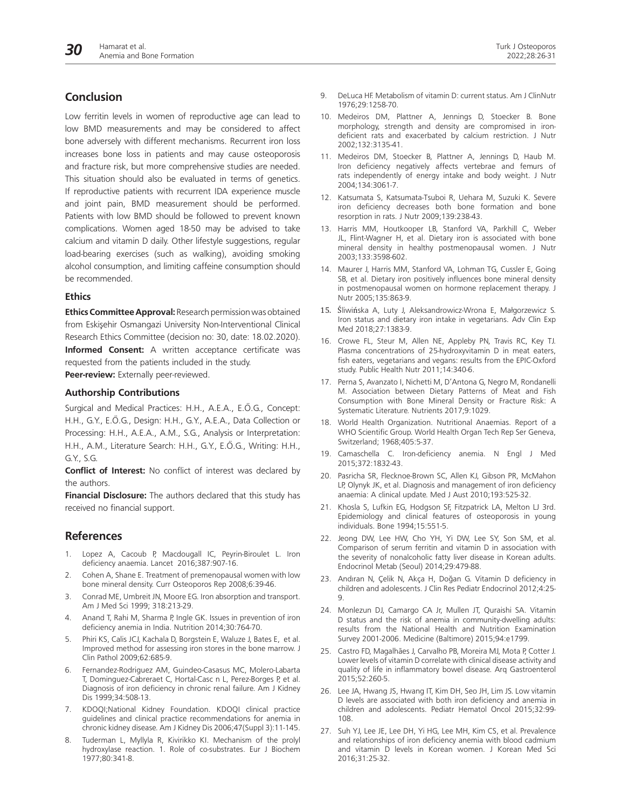Low ferritin levels in women of reproductive age can lead to low BMD measurements and may be considered to affect bone adversely with different mechanisms. Recurrent iron loss increases bone loss in patients and may cause osteoporosis and fracture risk, but more comprehensive studies are needed. This situation should also be evaluated in terms of genetics. If reproductive patients with recurrent IDA experience muscle and joint pain, BMD measurement should be performed. Patients with low BMD should be followed to prevent known complications. Women aged 18-50 may be advised to take calcium and vitamin D daily. Other lifestyle suggestions, regular load-bearing exercises (such as walking), avoiding smoking alcohol consumption, and limiting caffeine consumption should be recommended.

#### **Ethics**

**Ethics Committee Approval:** Research permission was obtained from Eskişehir Osmangazi University Non-Interventional Clinical Research Ethics Committee (decision no: 30, date: 18.02.2020). **Informed Consent:** A written acceptance certificate was requested from the patients included in the study. **Peer-review:** Externally peer-reviewed.

## **Authorship Contributions**

Surgical and Medical Practices: H.H., A.E.A., E.Ö.G., Concept: H.H., G.Y., E.Ö.G., Design: H.H., G.Y., A.E.A., Data Collection or Processing: H.H., A.E.A., A.M., S.G., Analysis or Interpretation: H.H., A.M., Literature Search: H.H., G.Y., E.Ö.G., Writing: H.H., G.Y., S.G.

**Conflict of Interest:** No conflict of interest was declared by the authors.

**Financial Disclosure:** The authors declared that this study has received no financial support.

## **References**

- 1. Lopez A, Cacoub P, Macdougall IC, Peyrin-Biroulet L. Iron deficiency anaemia. Lancet 2016;387:907-16.
- 2. Cohen A, Shane E. Treatment of premenopausal women with low bone mineral density. Curr Osteoporos Rep 2008;6:39-46.
- 3. Conrad ME, Umbreit JN, Moore EG. Iron absorption and transport. Am J Med Sci 1999; 318:213-29.
- 4. Anand T, Rahi M, Sharma P, Ingle GK. Issues in prevention of iron deficiency anemia in India. Nutrition 2014;30:764-70.
- 5. Phiri KS, Calis JCJ, Kachala D, Borgstein E, Waluze J, Bates E, et al. Improved method for assessing iron stores in the bone marrow. J Clin Pathol 2009;62:685-9.
- 6. Fernandez-Rodriguez AM, Guindeo-Casasus MC, Molero-Labarta T, Dominguez-Cabreraet C, Hortal-Casc n L, Perez-Borges P, et al. Diagnosis of iron deficiency in chronic renal failure. Am J Kidney Dis 1999;34:508-13.
- 7. KDOQI;National Kidney Foundation. KDOQI clinical practice guidelines and clinical practice recommendations for anemia in chronic kidney disease. Am J Kidney Dis 2006;47(Suppl 3):11-145.
- Tuderman L, Myllyla R, Kivirikko KI. Mechanism of the prolyl hydroxylase reaction. 1. Role of co-substrates. Eur J Biochem 1977;80:341-8.
- 9. DeLuca HF. Metabolism of vitamin D: current status. Am J ClinNutr 1976;29:1258-70.
- 10. Medeiros DM, Plattner A, Jennings D, Stoecker B. Bone morphology, strength and density are compromised in irondeficient rats and exacerbated by calcium restriction. J Nutr 2002;132:3135-41.
- 11. Medeiros DM, Stoecker B, Plattner A, Jennings D, Haub M. Iron deficiency negatively affects vertebrae and femurs of rats independently of energy intake and body weight. J Nutr 2004;134:3061-7.
- 12. Katsumata S, Katsumata-Tsuboi R, Uehara M, Suzuki K. Severe iron deficiency decreases both bone formation and bone resorption in rats. J Nutr 2009;139:238-43.
- 13. Harris MM, Houtkooper LB, Stanford VA, Parkhill C, Weber JL, Flint-Wagner H, et al. Dietary iron is associated with bone mineral density in healthy postmenopausal women. J Nutr 2003;133:3598-602.
- 14. Maurer J, Harris MM, Stanford VA, Lohman TG, Cussler E, Going SB, et al. Dietary iron positively influences bone mineral density in postmenopausal women on hormone replacement therapy. J Nutr 2005;135:863-9.
- 15. Śliwińska A, Luty J, Aleksandrowicz-Wrona E, Małgorzewicz S. Iron status and dietary iron intake in vegetarians. Adv Clin Exp Med 2018;27:1383-9.
- 16. Crowe FL, Steur M, Allen NE, Appleby PN, Travis RC, Key TJ. Plasma concentrations of 25-hydroxyvitamin D in meat eaters, fish eaters, vegetarians and vegans: results from the EPIC-Oxford study. Public Health Nutr 2011;14:340-6.
- 17. Perna S, Avanzato I, Nichetti M, D'Antona G, Negro M, Rondanelli M. Association between Dietary Patterns of Meat and Fish Consumption with Bone Mineral Density or Fracture Risk: A Systematic Literature. Nutrients 2017;9:1029.
- 18. World Health Organization. Nutritional Anaemias. Report of a WHO Scientific Group. World Health Organ Tech Rep Ser Geneva, Switzerland; 1968;405:5-37.
- 19. Camaschella C. Iron-deficiency anemia. N Engl J Med 2015;372:1832-43.
- 20. Pasricha SR, Flecknoe-Brown SC, Allen KJ, Gibson PR, McMahon LP, Olynyk JK, et al. Diagnosis and management of iron deficiency anaemia: A clinical update. Med J Aust 2010;193:525-32.
- 21. Khosla S, Lufkin EG, Hodgson SF, Fitzpatrick LA, Melton LJ 3rd. Epidemiology and clinical features of osteoporosis in young individuals. Bone 1994;15:551-5.
- 22. Jeong DW, Lee HW, Cho YH, Yi DW, Lee SY, Son SM, et al. Comparison of serum ferritin and vitamin D in association with the severity of nonalcoholic fatty liver disease in Korean adults. Endocrinol Metab (Seoul) 2014;29:479-88.
- 23. Andıran N, Çelik N, Akça H, Doğan G. Vitamin D deficiency in children and adolescents. J Clin Res Pediatr Endocrinol 2012;4:25- 9.
- 24. Monlezun DJ, Camargo CA Jr, Mullen JT, Quraishi SA. Vitamin D status and the risk of anemia in community-dwelling adults: results from the National Health and Nutrition Examination Survey 2001-2006. Medicine (Baltimore) 2015;94:e1799.
- 25. Castro FD, Magalhães J, Carvalho PB, Moreira MJ, Mota P, Cotter J. Lower levels of vitamin D correlate with clinical disease activity and quality of life in inflammatory bowel disease. Arq Gastroenterol 2015;52:260-5.
- 26. Lee JA, Hwang JS, Hwang IT, Kim DH, Seo JH, Lim JS. Low vitamin D levels are associated with both iron deficiency and anemia in children and adolescents. Pediatr Hematol Oncol 2015;32:99- 108.
- 27. Suh YJ, Lee JE, Lee DH, Yi HG, Lee MH, Kim CS, et al. Prevalence and relationships of iron deficiency anemia with blood cadmium and vitamin D levels in Korean women. J Korean Med Sci 2016;31:25-32.